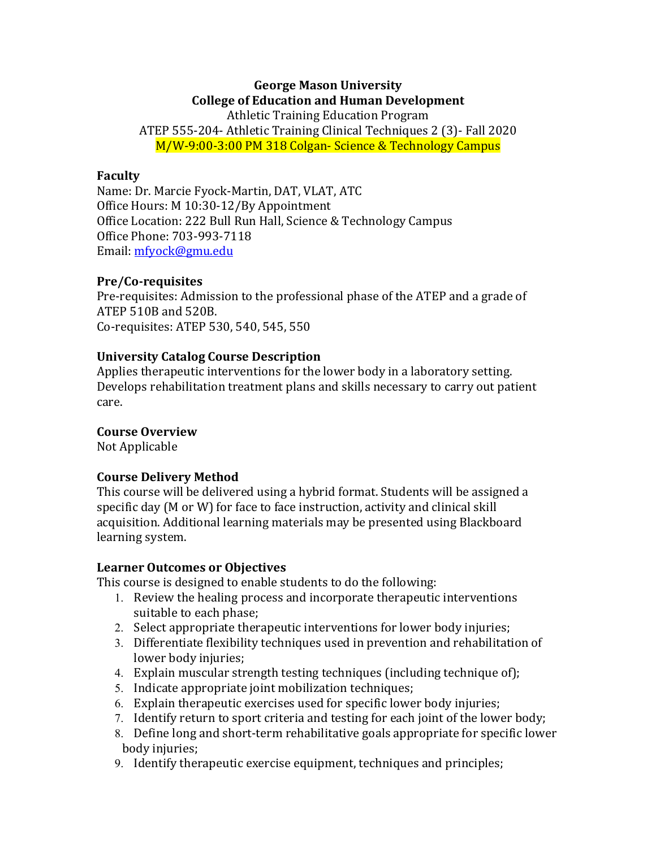# **George Mason University College of Education and Human Development**

Athletic Training Education Program ATEP 555-204- Athletic Training Clinical Techniques 2 (3)- Fall 2020 M/W-9:00-3:00 PM 318 Colgan- Science & Technology Campus

## **Faculty**

Name: Dr. Marcie Fyock-Martin, DAT, VLAT, ATC Office Hours: M 10:30-12/By Appointment Office Location: 222 Bull Run Hall, Science & Technology Campus Office Phone: 703-993-7118 Email: mfyock@gmu.edu

## **Pre/Co-requisites**

Pre-requisites: Admission to the professional phase of the ATEP and a grade of ATEP 510B and 520B. Co-requisites: ATEP 530, 540, 545, 550

# **University Catalog Course Description**

Applies therapeutic interventions for the lower body in a laboratory setting. Develops rehabilitation treatment plans and skills necessary to carry out patient care.

# **Course Overview**

Not Applicable

# **Course Delivery Method**

This course will be delivered using a hybrid format. Students will be assigned a specific day (M or W) for face to face instruction, activity and clinical skill acquisition. Additional learning materials may be presented using Blackboard learning system.

# **Learner Outcomes or Objectives**

This course is designed to enable students to do the following:

- 1. Review the healing process and incorporate therapeutic interventions suitable to each phase;
- 2. Select appropriate therapeutic interventions for lower body injuries;
- 3. Differentiate flexibility techniques used in prevention and rehabilitation of lower body injuries;
- 4. Explain muscular strength testing techniques (including technique of);
- 5. Indicate appropriate joint mobilization techniques;
- 6. Explain therapeutic exercises used for specific lower body injuries;
- 7. Identify return to sport criteria and testing for each joint of the lower body;
- 8. Define long and short-term rehabilitative goals appropriate for specific lower body injuries;
- 9. Identify therapeutic exercise equipment, techniques and principles;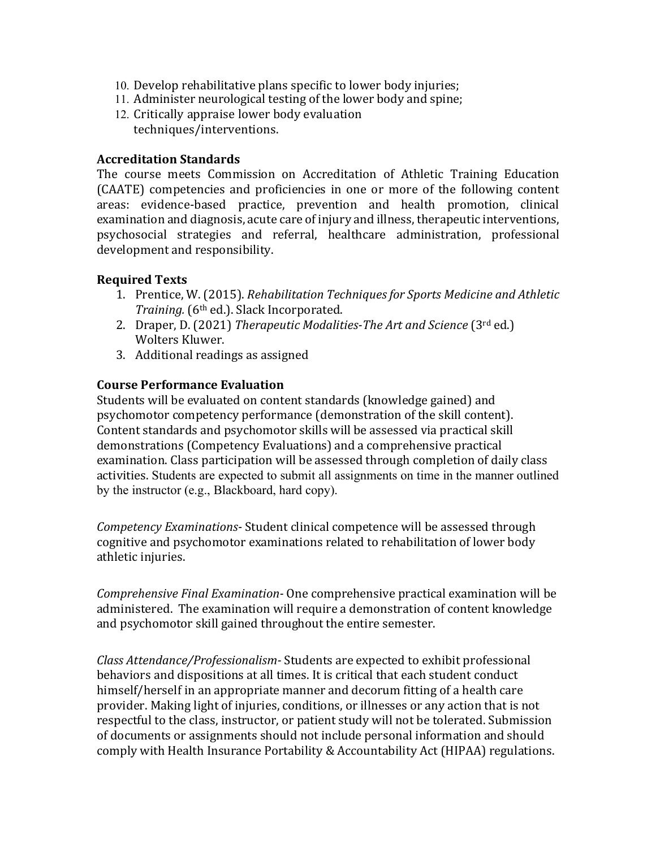- 10. Develop rehabilitative plans specific to lower body injuries;
- 11. Administer neurological testing of the lower body and spine;
- 12. Critically appraise lower body evaluation techniques/interventions.

## **Accreditation Standards**

The course meets Commission on Accreditation of Athletic Training Education (CAATE) competencies and proficiencies in one or more of the following content areas: evidence-based practice, prevention and health promotion, clinical examination and diagnosis, acute care of injury and illness, therapeutic interventions, psychosocial strategies and referral, healthcare administration, professional development and responsibility.

# **Required Texts**

- 1. Prentice, W. (2015). *Rehabilitation Techniques for Sports Medicine and Athletic Training.* (6<sup>th</sup> ed.). Slack Incorporated.
- 2. Draper, D. (2021) *Therapeutic Modalities-The Art and Science* (3rd ed.) Wolters Kluwer.
- 3. Additional readings as assigned

## **Course Performance Evaluation**

Students will be evaluated on content standards (knowledge gained) and psychomotor competency performance (demonstration of the skill content). Content standards and psychomotor skills will be assessed via practical skill demonstrations (Competency Evaluations) and a comprehensive practical examination. Class participation will be assessed through completion of daily class activities. Students are expected to submit all assignments on time in the manner outlined by the instructor (e.g., Blackboard, hard copy).

*Competency Examinations-* Student clinical competence will be assessed through cognitive and psychomotor examinations related to rehabilitation of lower body athletic injuries.

*Comprehensive Final Examination-* One comprehensive practical examination will be administered. The examination will require a demonstration of content knowledge and psychomotor skill gained throughout the entire semester.

*Class Attendance/Professionalism-* Students are expected to exhibit professional behaviors and dispositions at all times. It is critical that each student conduct himself/herself in an appropriate manner and decorum fitting of a health care provider. Making light of injuries, conditions, or illnesses or any action that is not respectful to the class, instructor, or patient study will not be tolerated. Submission of documents or assignments should not include personal information and should comply with Health Insurance Portability & Accountability Act (HIPAA) regulations.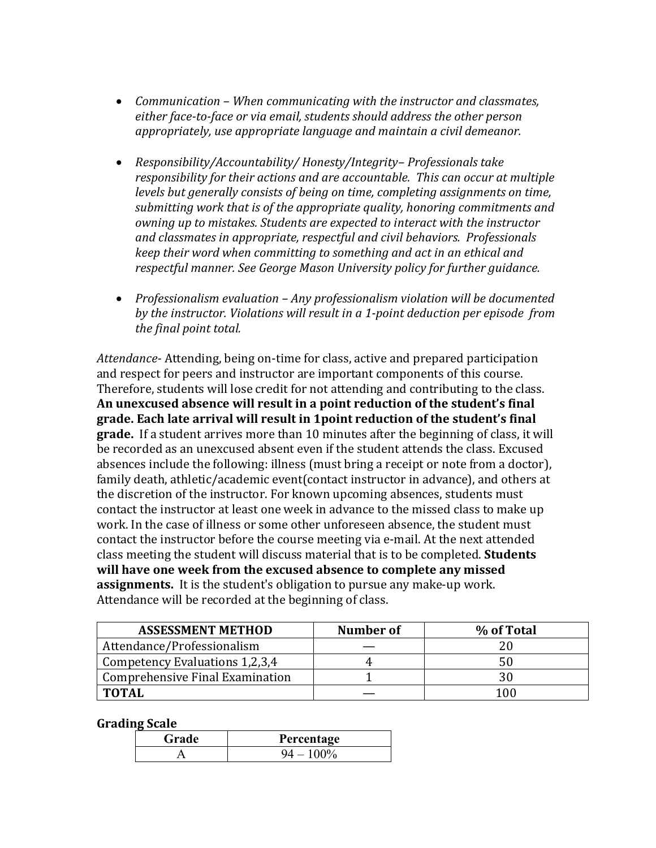- Communication When communicating with the instructor and classmates, either face-to-face or via email, students should address the other person appropriately, use appropriate language and maintain a civil demeanor.
- *Responsibility/Accountability/ Honesty/Integrity-Professionals take responsibility for their actions and are accountable. This can occur at multiple levels* but generally consists of being on time, completing assignments on time, submitting work that is of the appropriate quality, honoring commitments and *owning up to mistakes. Students are expected to interact with the instructor and classmates in appropriate, respectful and civil behaviors. Professionals keep* their word when committing to something and act in an ethical and *respectful manner. See George Mason University policy for further guidance.*
- Professionalism evaluation Any professionalism violation will be documented by the instructor. Violations will result in a 1-point deduction per episode from *the final point total.*

Attendance- Attending, being on-time for class, active and prepared participation and respect for peers and instructor are important components of this course. Therefore, students will lose credit for not attending and contributing to the class. An unexcused absence will result in a point reduction of the student's final grade. Each late arrival will result in 1point reduction of the student's final grade. If a student arrives more than 10 minutes after the beginning of class, it will be recorded as an unexcused absent even if the student attends the class. Excused absences include the following: illness (must bring a receipt or note from a doctor), family death, athletic/academic event(contact instructor in advance), and others at the discretion of the instructor. For known upcoming absences, students must contact the instructor at least one week in advance to the missed class to make up work. In the case of illness or some other unforeseen absence, the student must contact the instructor before the course meeting via e-mail. At the next attended class meeting the student will discuss material that is to be completed. **Students** will have one week from the excused absence to complete any missed **assignments.** It is the student's obligation to pursue any make-up work. Attendance will be recorded at the beginning of class.

| <b>ASSESSMENT METHOD</b>        | Number of | % of Total |
|---------------------------------|-----------|------------|
| Attendance/Professionalism      |           |            |
| Competency Evaluations 1,2,3,4  |           | 50         |
| Comprehensive Final Examination |           |            |
| <b>TOTAL</b>                    |           |            |

**Grading Scale**

| Grade | Percentage |
|-------|------------|
|       | $100\%$    |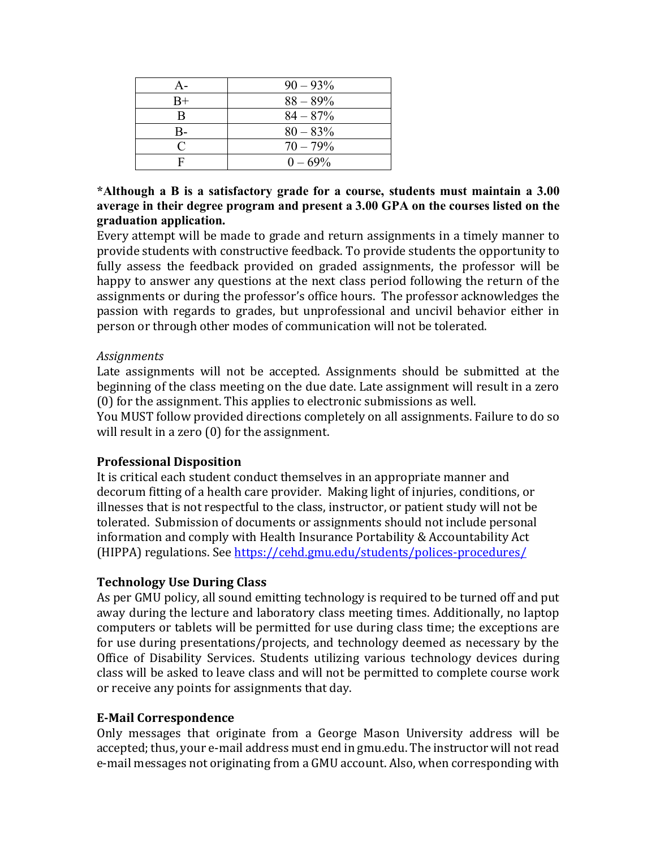| A-   | $90 - 93\%$ |
|------|-------------|
| $B+$ | $88 - 89\%$ |
| В    | $84 - 87\%$ |
| B-   | $80 - 83\%$ |
|      | $70 - 79\%$ |
| г    | $0 - 69\%$  |

# **\*Although a B is a satisfactory grade for a course, students must maintain a 3.00 average in their degree program and present a 3.00 GPA on the courses listed on the graduation application.**

Every attempt will be made to grade and return assignments in a timely manner to provide students with constructive feedback. To provide students the opportunity to fully assess the feedback provided on graded assignments, the professor will be happy to answer any questions at the next class period following the return of the assignments or during the professor's office hours. The professor acknowledges the passion with regards to grades, but unprofessional and uncivil behavior either in person or through other modes of communication will not be tolerated.

# *Assignments*

Late assignments will not be accepted. Assignments should be submitted at the beginning of the class meeting on the due date. Late assignment will result in a zero  $(0)$  for the assignment. This applies to electronic submissions as well.

You MUST follow provided directions completely on all assignments. Failure to do so will result in a zero  $(0)$  for the assignment.

# **Professional Disposition**

It is critical each student conduct themselves in an appropriate manner and decorum fitting of a health care provider. Making light of injuries, conditions, or illnesses that is not respectful to the class, instructor, or patient study will not be tolerated. Submission of documents or assignments should not include personal information and comply with Health Insurance Portability & Accountability Act (HIPPA) regulations. See https://cehd.gmu.edu/students/polices-procedures/

# **Technology Use During Class**

As per GMU policy, all sound emitting technology is required to be turned off and put away during the lecture and laboratory class meeting times. Additionally, no laptop computers or tablets will be permitted for use during class time; the exceptions are for use during presentations/projects, and technology deemed as necessary by the Office of Disability Services. Students utilizing various technology devices during class will be asked to leave class and will not be permitted to complete course work or receive any points for assignments that day.

# **E-Mail Correspondence**

Only messages that originate from a George Mason University address will be accepted; thus, your e-mail address must end in gmu.edu. The instructor will not read e-mail messages not originating from a GMU account. Also, when corresponding with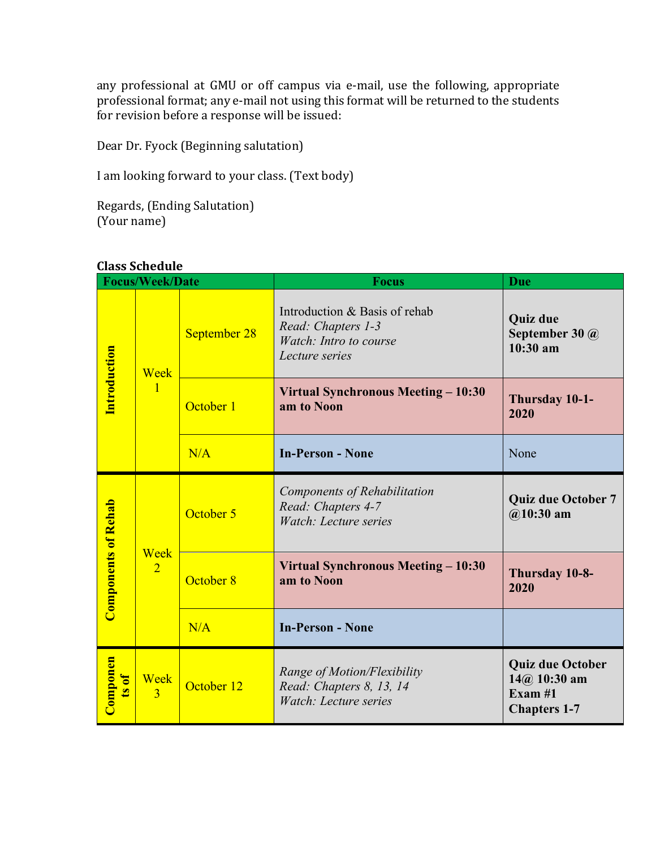any professional at GMU or off campus via e-mail, use the following, appropriate any professional format; any e-mail not using this format will be returned to the students for revision before a response will be issued:

Dear Dr. Fyock (Beginning salutation)

I am looking forward to your class. (Text body)

Regards, (Ending Salutation)  $(Your name)$ 

# **Class Schedule**

| <b>Focus/Week/Date</b>     |                        |              | <b>Focus</b>                                                                                    | Due                                                                           |
|----------------------------|------------------------|--------------|-------------------------------------------------------------------------------------------------|-------------------------------------------------------------------------------|
| <b>Introduction</b>        | Week<br>1              | September 28 | Introduction & Basis of rehab<br>Read: Chapters 1-3<br>Watch: Intro to course<br>Lecture series | <b>Quiz due</b><br>September 30 @<br>$10:30$ am                               |
|                            |                        | October 1    | Virtual Synchronous Meeting - 10:30<br>am to Noon                                               | Thursday 10-1-<br>2020                                                        |
|                            |                        | N/A          | <b>In-Person - None</b>                                                                         | None                                                                          |
| <b>Components of Rehab</b> | Week<br>$\overline{2}$ | October 5    | Components of Rehabilitation<br>Read: Chapters 4-7<br>Watch: Lecture series                     | <b>Quiz due October 7</b><br>$@10:30$ am                                      |
|                            |                        | October 8    | Virtual Synchronous Meeting – 10:30<br>am to Noon                                               | Thursday 10-8-<br>2020                                                        |
|                            |                        | N/A          | <b>In-Person - None</b>                                                                         |                                                                               |
| Componen<br>ts of          | Week<br>$\overline{3}$ | October 12   | Range of Motion/Flexibility<br>Read: Chapters 8, 13, 14<br>Watch: Lecture series                | <b>Quiz due October</b><br>$14@$ 10:30 am<br>Exam $#1$<br><b>Chapters 1-7</b> |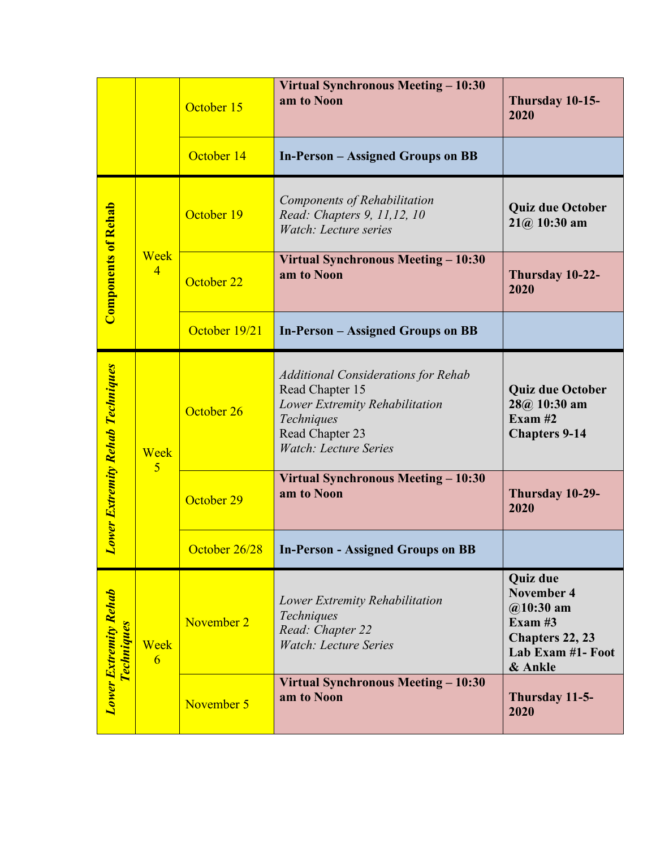|                                                   |                        | October 15    | Virtual Synchronous Meeting - 10:30<br>am to Noon                                                                                                                | Thursday 10-15-<br>2020                                                                                             |
|---------------------------------------------------|------------------------|---------------|------------------------------------------------------------------------------------------------------------------------------------------------------------------|---------------------------------------------------------------------------------------------------------------------|
|                                                   |                        | October 14    | <b>In-Person – Assigned Groups on BB</b>                                                                                                                         |                                                                                                                     |
| <b>Components of Rehab</b>                        | Week<br>$\overline{4}$ | October 19    | Components of Rehabilitation<br>Read: Chapters 9, 11,12, 10<br>Watch: Lecture series                                                                             | <b>Quiz due October</b><br>$21(a) 10:30$ am                                                                         |
|                                                   |                        | October 22    | Virtual Synchronous Meeting – 10:30<br>am to Noon                                                                                                                | Thursday 10-22-<br>2020                                                                                             |
|                                                   |                        | October 19/21 | <b>In-Person – Assigned Groups on BB</b>                                                                                                                         |                                                                                                                     |
| <b>Lower Extremity Rehab Techniques</b>           | Week<br>$\overline{5}$ | October 26    | <b>Additional Considerations for Rehab</b><br>Read Chapter 15<br>Lower Extremity Rehabilitation<br>Techniques<br>Read Chapter 23<br><b>Watch: Lecture Series</b> | <b>Quiz due October</b><br>$28@10:30$ am<br>Exam $#2$<br><b>Chapters 9-14</b>                                       |
|                                                   |                        | October 29    | Virtual Synchronous Meeting - 10:30<br>am to Noon                                                                                                                | Thursday 10-29-<br>2020                                                                                             |
|                                                   |                        | October 26/28 | <b>In-Person - Assigned Groups on BB</b>                                                                                                                         |                                                                                                                     |
| <b>Lower Extremity Rehab</b><br><b>Techniques</b> | Week<br>6              | November 2    | Lower Extremity Rehabilitation<br>Techniques<br>Read: Chapter 22<br><b>Watch: Lecture Series</b>                                                                 | <b>Quiz due</b><br><b>November 4</b><br>$@10:30$ am<br>Exam $#3$<br>Chapters 22, 23<br>Lab Exam #1- Foot<br>& Ankle |
|                                                   |                        | November 5    | Virtual Synchronous Meeting - 10:30<br>am to Noon                                                                                                                | Thursday 11-5-<br>2020                                                                                              |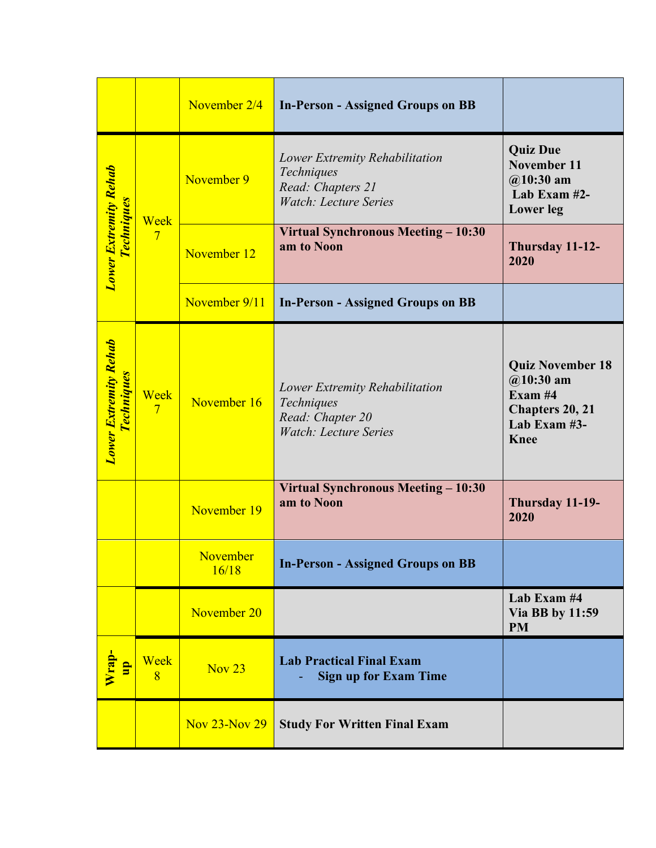|                                                   |                        | November 2/4             | <b>In-Person - Assigned Groups on BB</b>                                                          |                                                                                                     |
|---------------------------------------------------|------------------------|--------------------------|---------------------------------------------------------------------------------------------------|-----------------------------------------------------------------------------------------------------|
|                                                   | Week<br>$\overline{7}$ | November 9               | Lower Extremity Rehabilitation<br>Techniques<br>Read: Chapters 21<br><b>Watch: Lecture Series</b> | <b>Quiz Due</b><br><b>November 11</b><br>$@10:30$ am<br>Lab Exam #2-<br><b>Lower</b> leg            |
| Lower Extremity Rehab<br><b>Techniques</b>        |                        | November 12              | Virtual Synchronous Meeting - 10:30<br>am to Noon                                                 | Thursday 11-12-<br>2020                                                                             |
|                                                   |                        | November 9/11            | <b>In-Person - Assigned Groups on BB</b>                                                          |                                                                                                     |
| <b>Lower Extremity Rehab</b><br><b>Techniques</b> | Week<br>$\overline{7}$ | November 16              | Lower Extremity Rehabilitation<br>Techniques<br>Read: Chapter 20<br><b>Watch: Lecture Series</b>  | <b>Quiz November 18</b><br>$@10:30$ am<br>Exam #4<br>Chapters 20, 21<br>Lab Exam #3-<br><b>Knee</b> |
|                                                   |                        | November 19              | Virtual Synchronous Meeting - 10:30<br>am to Noon                                                 | Thursday 11-19-<br>2020                                                                             |
|                                                   |                        | <b>November</b><br>16/18 | <b>In-Person - Assigned Groups on BB</b>                                                          |                                                                                                     |
|                                                   |                        | November 20              |                                                                                                   | Lab Exam #4<br>Via BB by 11:59<br><b>PM</b>                                                         |
| $\frac{1}{\sqrt{2}}$                              | Week<br>$\overline{8}$ | <b>Nov 23</b>            | <b>Lab Practical Final Exam</b><br><b>Sign up for Exam Time</b>                                   |                                                                                                     |
|                                                   |                        | <b>Nov 23-Nov 29</b>     | <b>Study For Written Final Exam</b>                                                               |                                                                                                     |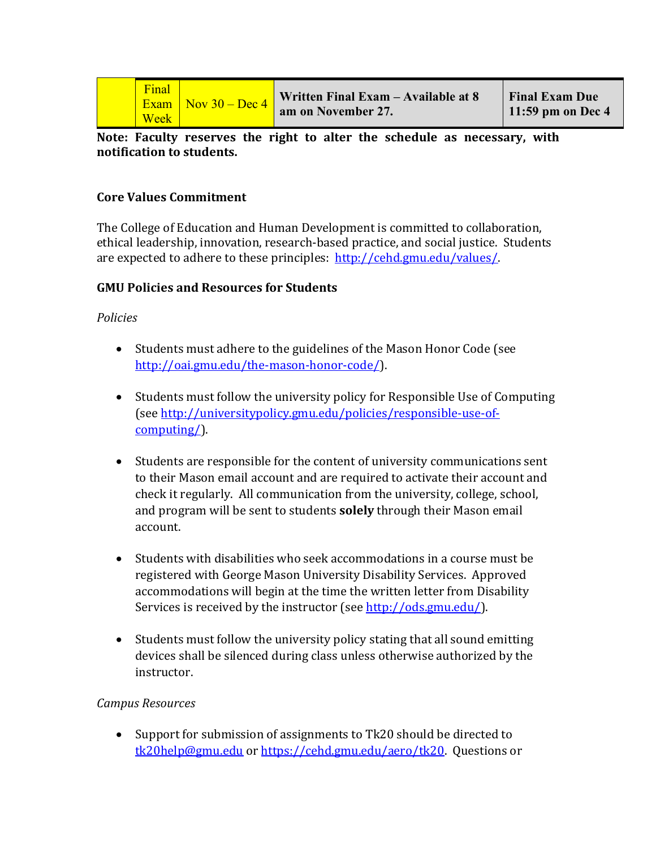|  | Final<br>Exam<br><b>Week</b> | $\sqrt{\frac{N_{\text{OV}}}{100}}$ Nov 30 – Dec 4 | Written Final Exam $-$ Available at 8<br>am on November 27. | <b>Final Exam Due</b><br>11:59 pm on Dec $4$ |
|--|------------------------------|---------------------------------------------------|-------------------------------------------------------------|----------------------------------------------|
|--|------------------------------|---------------------------------------------------|-------------------------------------------------------------|----------------------------------------------|

Note: Faculty reserves the right to alter the schedule as necessary, with **notification to students.**

## **Core Values Commitment**

The College of Education and Human Development is committed to collaboration, ethical leadership, innovation, research-based practice, and social justice. Students are expected to adhere to these principles: http://cehd.gmu.edu/values/.

## **GMU Policies and Resources for Students**

*Policies*

- Students must adhere to the guidelines of the Mason Honor Code (see http://oai.gmu.edu/the-mason-honor-code/).
- Students must follow the university policy for Responsible Use of Computing (see http://universitypolicy.gmu.edu/policies/responsible-use-ofcomputing/).
- Students are responsible for the content of university communications sent to their Mason email account and are required to activate their account and check it regularly. All communication from the university, college, school, and program will be sent to students **solely** through their Mason email account.
- Students with disabilities who seek accommodations in a course must be registered with George Mason University Disability Services. Approved accommodations will begin at the time the written letter from Disability Services is received by the instructor (see http://ods.gmu.edu/).
- Students must follow the university policy stating that all sound emitting devices shall be silenced during class unless otherwise authorized by the instructor.

# *Campus Resources*

• Support for submission of assignments to Tk20 should be directed to tk20help@gmu.edu or https://cehd.gmu.edu/aero/tk20. Questions or